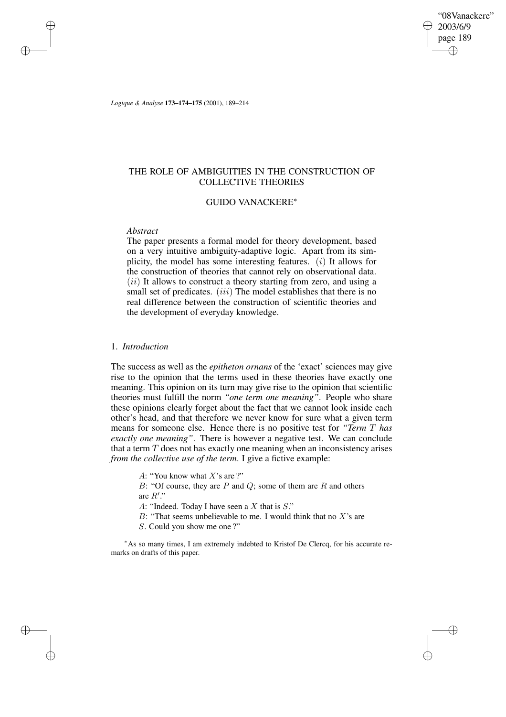"08Vanackere" 2003/6/9 page 189 ✐ ✐

✐

✐

*Logique & Analyse* **173–174–175** (2001), 189–214

# THE ROLE OF AMBIGUITIES IN THE CONSTRUCTION OF COLLECTIVE THEORIES

## GUIDO VANACKERE<sup>∗</sup>

### *Abstract*

✐

✐

✐

✐

The paper presents a formal model for theory development, based on a very intuitive ambiguity-adaptive logic. Apart from its simplicity, the model has some interesting features.  $(i)$  It allows for the construction of theories that cannot rely on observational data.  $(ii)$  It allows to construct a theory starting from zero, and using a small set of predicates. *(iii)* The model establishes that there is no real difference between the construction of scientific theories and the development of everyday knowledge.

# 1. *Introduction*

The success as well as the *epitheton ornans* of the 'exact' sciences may give rise to the opinion that the terms used in these theories have exactly one meaning. This opinion on its turn may give rise to the opinion that scientific theories must fulfill the norm *"one term one meaning"*. People who share these opinions clearly forget about the fact that we cannot look inside each other's head, and that therefore we never know for sure what a given term means for someone else. Hence there is no positive test for *"Term* T *has exactly one meaning"*. There is however a negative test. We can conclude that a term  $T$  does not has exactly one meaning when an inconsistency arises *from the collective use of the term*. I give a fictive example:

A: "You know what  $X$ 's are ?"

B: "Of course, they are  $P$  and  $Q$ ; some of them are  $R$  and others are  $R$ ".

A: "Indeed. Today I have seen a X that is S."

B: "That seems unbelievable to me. I would think that no  $X$ 's are

S. Could you show me one ?"

<sup>∗</sup>As so many times, I am extremely indebted to Kristof De Clercq, for his accurate remarks on drafts of this paper.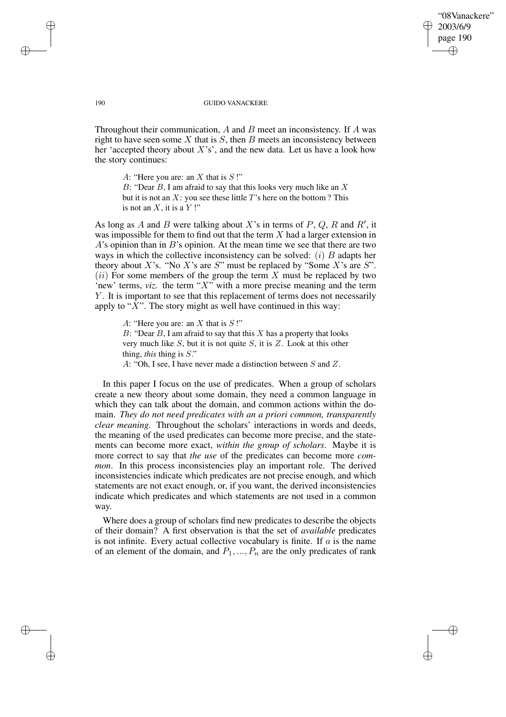"08Vanackere" 2003/6/9 page 190 ✐ ✐

✐

✐

#### 190 GUIDO VANACKERE

Throughout their communication,  $A$  and  $B$  meet an inconsistency. If  $A$  was right to have seen some  $X$  that is  $S$ , then  $B$  meets an inconsistency between her 'accepted theory about  $X$ 's', and the new data. Let us have a look how the story continues:

A: "Here you are: an  $X$  that is  $S$ !"

B: "Dear  $B$ , I am afraid to say that this looks very much like an  $X$ but it is not an  $X$ : you see these little  $T$ 's here on the bottom ? This is not an  $X$ , it is a  $Y$ !"

As long as A and B were talking about X's in terms of  $P$ ,  $Q$ ,  $R$  and  $R'$ , it was impossible for them to find out that the term  $X$  had a larger extension in  $A$ 's opinion than in  $B$ 's opinion. At the mean time we see that there are two ways in which the collective inconsistency can be solved:  $(i)$  B adapts her theory about X's. "No X's are S" must be replaced by "Some X's are S".  $(ii)$  For some members of the group the term X must be replaced by two 'new' terms,  $viz$ . the term " $X$ " with a more precise meaning and the term Y. It is important to see that this replacement of terms does not necessarily apply to " $X$ ". The story might as well have continued in this way:

A: "Here you are: an  $X$  that is  $S$ !" B: "Dear  $B$ , I am afraid to say that this  $X$  has a property that looks very much like  $S$ , but it is not quite  $S$ , it is  $Z$ . Look at this other thing, *this* thing is S." A: "Oh, I see, I have never made a distinction between S and Z.

In this paper I focus on the use of predicates. When a group of scholars create a new theory about some domain, they need a common language in which they can talk about the domain, and common actions within the domain. *They do not need predicates with an a priori common, transparently clear meaning.* Throughout the scholars' interactions in words and deeds, the meaning of the used predicates can become more precise, and the statements can become more exact, *within the group of scholars*. Maybe it is more correct to say that *the use* of the predicates can become more *common.* In this process inconsistencies play an important role. The derived inconsistencies indicate which predicates are not precise enough, and which statements are not exact enough, or, if you want, the derived inconsistencies indicate which predicates and which statements are not used in a common way.

Where does a group of scholars find new predicates to describe the objects of their domain? A first observation is that the set of *available* predicates is not infinite. Every actual collective vocabulary is finite. If  $a$  is the name of an element of the domain, and  $P_1, ..., P_n$  are the only predicates of rank

✐

✐

✐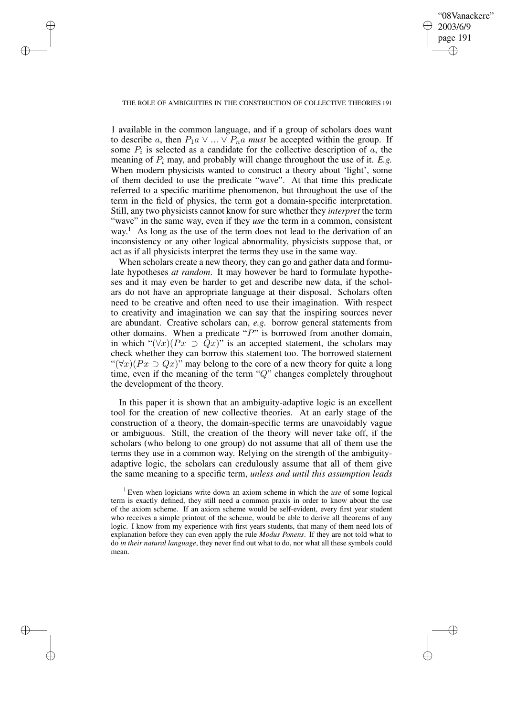✐

#### THE ROLE OF AMBIGUITIES IN THE CONSTRUCTION OF COLLECTIVE THEORIES 191

✐

✐

✐

✐

1 available in the common language, and if a group of scholars does want to describe a, then  $P_1a \vee ... \vee P_na$  *must* be accepted within the group. If some  $P_i$  is selected as a candidate for the collective description of  $a$ , the meaning of  $P_i$  may, and probably will change throughout the use of it. *E.g.* When modern physicists wanted to construct a theory about 'light', some of them decided to use the predicate "wave". At that time this predicate referred to a specific maritime phenomenon, but throughout the use of the term in the field of physics, the term got a domain-specific interpretation. Still, any two physicists cannot know for sure whether they *interpret* the term "wave" in the same way, even if they *use* the term in a common, consistent way.<sup>1</sup> As long as the use of the term does not lead to the derivation of an inconsistency or any other logical abnormality, physicists suppose that, or act as if all physicists interpret the terms they use in the same way.

When scholars create a new theory, they can go and gather data and formulate hypotheses *at random*. It may however be hard to formulate hypotheses and it may even be harder to get and describe new data, if the scholars do not have an appropriate language at their disposal. Scholars often need to be creative and often need to use their imagination. With respect to creativity and imagination we can say that the inspiring sources never are abundant. Creative scholars can, *e.g.* borrow general statements from other domains. When a predicate " $P$ " is borrowed from another domain, in which " $(\forall x)(Px \supset Qx)$ " is an accepted statement, the scholars may check whether they can borrow this statement too. The borrowed statement " $(\forall x)(Px \supset Qx)$ " may belong to the core of a new theory for quite a long time, even if the meaning of the term "Q" changes completely throughout the development of the theory.

In this paper it is shown that an ambiguity-adaptive logic is an excellent tool for the creation of new collective theories. At an early stage of the construction of a theory, the domain-specific terms are unavoidably vague or ambiguous. Still, the creation of the theory will never take off, if the scholars (who belong to one group) do not assume that all of them use the terms they use in a common way. Relying on the strength of the ambiguityadaptive logic, the scholars can credulously assume that all of them give the same meaning to a specific term, *unless and until this assumption leads*

<sup>1</sup> Even when logicians write down an axiom scheme in which the *use* of some logical term is exactly defined, they still need a common praxis in order to know about the use of the axiom scheme. If an axiom scheme would be self-evident, every first year student who receives a simple printout of the scheme, would be able to derive all theorems of any logic. I know from my experience with first years students, that many of them need lots of explanation before they can even apply the rule *Modus Ponens*. If they are not told what to do *in their natural language*, they never find out what to do, nor what all these symbols could mean.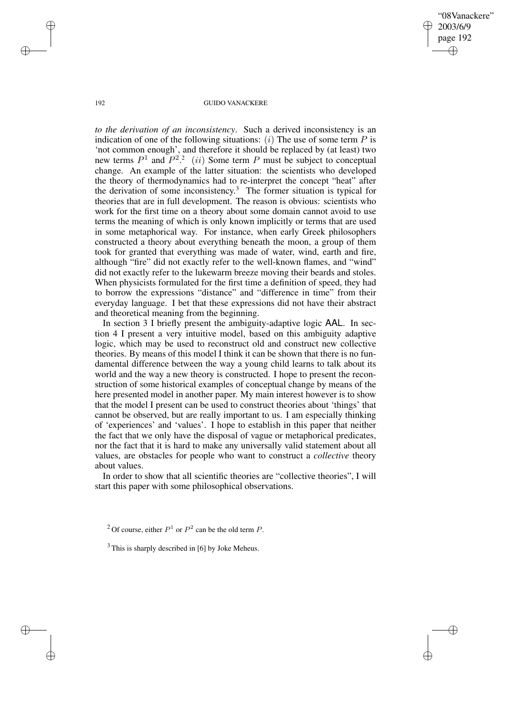"08Vanackere" 2003/6/9 page 192 ✐ ✐

✐

✐

#### 192 GUIDO VANACKERE

*to the derivation of an inconsistency*. Such a derived inconsistency is an indication of one of the following situations:  $(i)$  The use of some term  $P$  is 'not common enough', and therefore it should be replaced by (at least) two new terms  $P^1$  and  $P^2$ <sup>2</sup> (ii) Some term P must be subject to conceptual change. An example of the latter situation: the scientists who developed the theory of thermodynamics had to re-interpret the concept "heat" after the derivation of some inconsistency. <sup>3</sup> The former situation is typical for theories that are in full development. The reason is obvious: scientists who work for the first time on a theory about some domain cannot avoid to use terms the meaning of which is only known implicitly or terms that are used in some metaphorical way. For instance, when early Greek philosophers constructed a theory about everything beneath the moon, a group of them took for granted that everything was made of water, wind, earth and fire, although "fire" did not exactly refer to the well-known flames, and "wind" did not exactly refer to the lukewarm breeze moving their beards and stoles. When physicists formulated for the first time a definition of speed, they had to borrow the expressions "distance" and "difference in time" from their everyday language. I bet that these expressions did not have their abstract and theoretical meaning from the beginning.

In section 3 I briefly present the ambiguity-adaptive logic AAL. In section 4 I present a very intuitive model, based on this ambiguity adaptive logic, which may be used to reconstruct old and construct new collective theories. By means of this model I think it can be shown that there is no fundamental difference between the way a young child learns to talk about its world and the way a new theory is constructed. I hope to present the reconstruction of some historical examples of conceptual change by means of the here presented model in another paper. My main interest however is to show that the model I present can be used to construct theories about 'things' that cannot be observed, but are really important to us. I am especially thinking of 'experiences' and 'values'. I hope to establish in this paper that neither the fact that we only have the disposal of vague or metaphorical predicates, nor the fact that it is hard to make any universally valid statement about all values, are obstacles for people who want to construct a *collective* theory about values.

In order to show that all scientific theories are "collective theories", I will start this paper with some philosophical observations.

✐

✐

✐

<sup>&</sup>lt;sup>2</sup> Of course, either  $P^1$  or  $P^2$  can be the old term P.

 $3$  This is sharply described in [6] by Joke Meheus.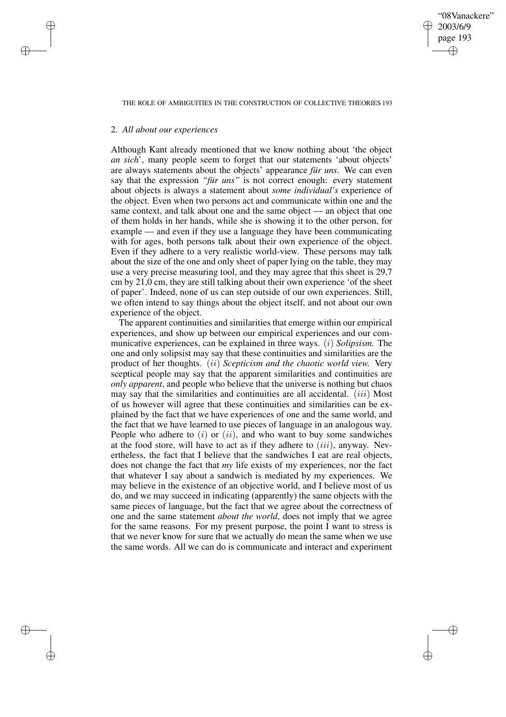✐

#### THE ROLE OF AMBIGUITIES IN THE CONSTRUCTION OF COLLECTIVE THEORIES 193

### 2. *All about our experiences*

✐

✐

✐

✐

Although Kant already mentioned that we know nothing about 'the object *an sich*', many people seem to forget that our statements 'about objects' are always statements about the objects' appearance *für uns*. We can even say that the expression *"für uns"* is not correct enough: every statement about objects is always a statement about *some individual's* experience of the object. Even when two persons act and communicate within one and the same context, and talk about one and the same object — an object that one of them holds in her hands, while she is showing it to the other person, for example — and even if they use a language they have been communicating with for ages, both persons talk about their own experience of the object. Even if they adhere to a very realistic world-view. These persons may talk about the size of the one and only sheet of paper lying on the table, they may use a very precise measuring tool, and they may agree that this sheet is 29,7 cm by 21,0 cm, they are still talking about their own experience 'of the sheet of paper'. Indeed, none of us can step outside of our own experiences. Still, we often intend to say things about the object itself, and not about our own experience of the object.

The apparent continuities and similarities that emerge within our empirical experiences, and show up between our empirical experiences and our communicative experiences, can be explained in three ways. (i) *Solipsism.* The one and only solipsist may say that these continuities and similarities are the product of her thoughts. (ii) *Scepticism and the chaotic world view.* Very sceptical people may say that the apparent similarities and continuities are *only apparent*, and people who believe that the universe is nothing but chaos may say that the similarities and continuities are all accidental.  $(iii)$  Most of us however will agree that these continuities and similarities can be explained by the fact that we have experiences of one and the same world, and the fact that we have learned to use pieces of language in an analogous way. People who adhere to  $(i)$  or  $(ii)$ , and who want to buy some sandwiches at the food store, will have to act as if they adhere to  $(iii)$ , anyway. Nevertheless, the fact that I believe that the sandwiches I eat are real objects, does not change the fact that *my* life exists of my experiences, nor the fact that whatever I say about a sandwich is mediated by my experiences. We may believe in the existence of an objective world, and I believe most of us do, and we may succeed in indicating (apparently) the same objects with the same pieces of language, but the fact that we agree about the correctness of one and the same statement *about the world*, does not imply that we agree for the same reasons. For my present purpose, the point I want to stress is that we never know for sure that we actually do mean the same when we use the same words. All we can do is communicate and interact and experiment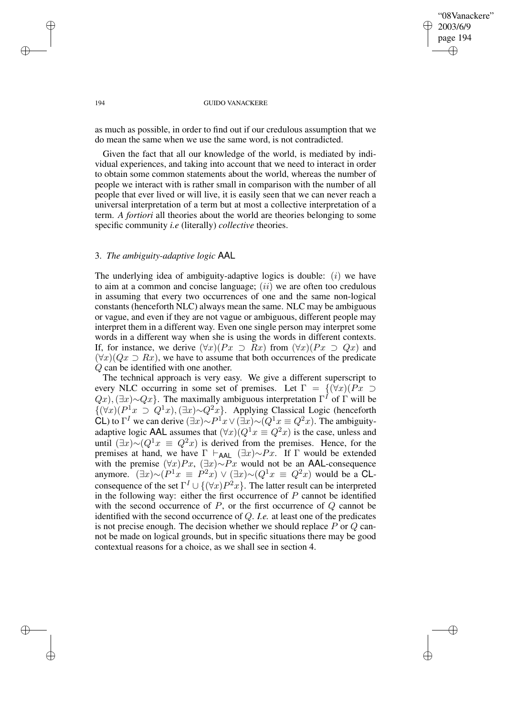✐

#### 194 GUIDO VANACKERE

as much as possible, in order to find out if our credulous assumption that we do mean the same when we use the same word, is not contradicted.

Given the fact that all our knowledge of the world, is mediated by individual experiences, and taking into account that we need to interact in order to obtain some common statements about the world, whereas the number of people we interact with is rather small in comparison with the number of all people that ever lived or will live, it is easily seen that we can never reach a universal interpretation of a term but at most a collective interpretation of a term. *A fortiori* all theories about the world are theories belonging to some specific community *i.e* (literally) *collective* theories.

# 3. *The ambiguity-adaptive logic* AAL

The underlying idea of ambiguity-adaptive logics is double:  $(i)$  we have to aim at a common and concise language;  $(ii)$  we are often too credulous in assuming that every two occurrences of one and the same non-logical constants (henceforth NLC) always mean the same. NLC may be ambiguous or vague, and even if they are not vague or ambiguous, different people may interpret them in a different way. Even one single person may interpret some words in a different way when she is using the words in different contexts. If, for instance, we derive  $(\forall x)(Px \supset Rx)$  from  $(\forall x)(Px \supset Qx)$  and  $(\forall x)(Qx \supset Rx)$ , we have to assume that both occurrences of the predicate Q can be identified with one another.

The technical approach is very easy. We give a different superscript to every NLC occurring in some set of premises. Let  $\Gamma = \{(\forall x)(Px \supset$  $Q(x)$ ,  $(\exists x) \sim Qx$ . The maximally ambiguous interpretation  $\Gamma<sup>I</sup>$  of  $\Gamma$  will be  $\{(\forall x)(P^1x \supset Q^1x),(\exists x)\sim Q^2x\}.$  Applying Classical Logic (henceforth CL) to  $\Gamma^I$  we can derive  $(\exists x) \sim P^1 x \vee (\exists x) \sim (Q^1 x \equiv Q^2 x)$ . The ambiguityadaptive logic AAL assumes that  $(\forall x)(Q^1x \equiv Q^2x)$  is the case, unless and until  $(\exists x) \sim (Q^1 x \equiv Q^2 x)$  is derived from the premises. Hence, for the premises at hand, we have  $\Gamma \vdash_{\mathsf{AAL}} (\exists x) \sim Px$ . If  $\Gamma$  would be extended with the premise  $(\forall x)Px$ ,  $(\exists x) \sim Px$  would not be an AAL-consequence anymore.  $(\exists x) \sim (P^1 x \equiv P^2 x) \vee (\exists x) \sim (Q^1 x \equiv Q^2 x)$  would be a CLconsequence of the set  $\Gamma^I \cup \{(\forall x)P^2x\}$ . The latter result can be interpreted in the following way: either the first occurrence of  $P$  cannot be identified with the second occurrence of  $P$ , or the first occurrence of  $Q$  cannot be identified with the second occurrence of Q. *I.e.* at least one of the predicates is not precise enough. The decision whether we should replace  $P$  or  $Q$  cannot be made on logical grounds, but in specific situations there may be good contextual reasons for a choice, as we shall see in section 4.

✐

✐

✐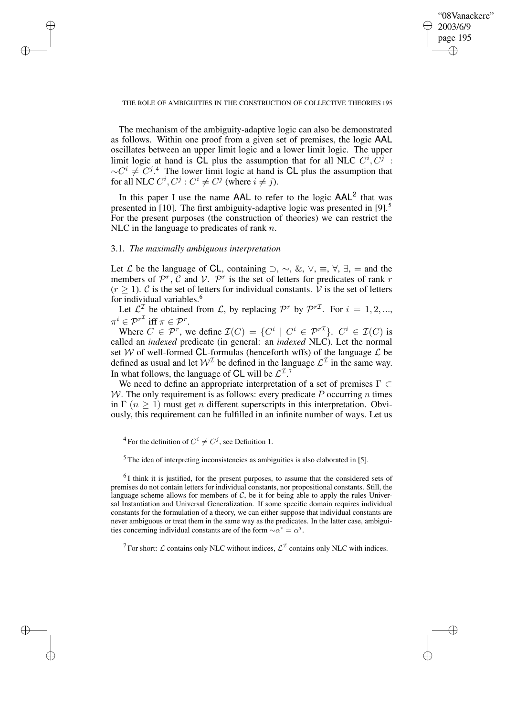✐

#### THE ROLE OF AMBIGUITIES IN THE CONSTRUCTION OF COLLECTIVE THEORIES 195

The mechanism of the ambiguity-adaptive logic can also be demonstrated as follows. Within one proof from a given set of premises, the logic AAL oscillates between an upper limit logic and a lower limit logic. The upper limit logic at hand is  $\overline{\text{CL}}$  plus the assumption that for all NLC  $C^i$ ,  $\overline{C^j}$ :  $\sim C^{i} \neq C^{j}$ .<sup>4</sup> The lower limit logic at hand is CL plus the assumption that for all NLC  $C^i, C^j : C^i \neq C^j$  (where  $i \neq j$ ).

In this paper I use the name  $AAL$  to refer to the logic  $AAL<sup>2</sup>$  that was presented in [10]. The first ambiguity-adaptive logic was presented in [9].<sup>5</sup> For the present purposes (the construction of theories) we can restrict the NLC in the language to predicates of rank  $n$ .

# 3.1. *The maximally ambiguous interpretation*

✐

✐

✐

✐

Let  $\mathcal L$  be the language of CL, containing  $\supset$ ,  $\sim$ , &,  $\vee$ ,  $\equiv$ ,  $\forall$ ,  $\exists$ , = and the members of  $\mathcal{P}^r$ ,  $\mathcal C$  and  $\mathcal V$ .  $\mathcal P^r$  is the set of letters for predicates of rank r  $(r \ge 1)$ . C is the set of letters for individual constants. V is the set of letters for individual variables.<sup>6</sup>

Let  $\mathcal{L}^{\mathcal{I}}$  be obtained from  $\mathcal{L}$ , by replacing  $\mathcal{P}^{r}$  by  $\mathcal{P}^{r\mathcal{I}}$ . For  $i = 1, 2, ...,$  $\pi^i \in {\mathcal{P}}^{r^{\mathcal{I}}}$  iff  $\pi \in {\mathcal{P}}^r$ .

Where  $C \in \mathcal{P}^r$ , we define  $\mathcal{I}(C) = \{C^i \mid C^i \in \mathcal{P}^{r\mathcal{I}}\}$ .  $C^i \in \mathcal{I}(C)$  is called an *indexed* predicate (in general: an *indexed* NLC). Let the normal set W of well-formed CL-formulas (henceforth wffs) of the language  $\mathcal L$  be defined as usual and let  $W^{\mathcal{I}}$  be defined in the language  $\mathcal{L}^{\mathcal{I}}$  in the same way. In what follows, the language of CL will be  $\mathcal{L}^{\mathcal{I},7}$ 

We need to define an appropriate interpretation of a set of premises  $\Gamma \subset$ W. The only requirement is as follows: every predicate  $P$  occurring  $n$  times in  $\Gamma$  ( $n \geq 1$ ) must get *n* different superscripts in this interpretation. Obviously, this requirement can be fulfilled in an infinite number of ways. Let us

 $<sup>5</sup>$  The idea of interpreting inconsistencies as ambiguities is also elaborated in [5].</sup>

 ${}^{6}$ I think it is justified, for the present purposes, to assume that the considered sets of premises do not contain letters for individual constants, nor propositional constants. Still, the language scheme allows for members of  $C$ , be it for being able to apply the rules Universal Instantiation and Universal Generalization. If some specific domain requires individual constants for the formulation of a theory, we can either suppose that individual constants are never ambiguous or treat them in the same way as the predicates. In the latter case, ambiguities concerning individual constants are of the form  $\sim \alpha^i = \alpha^j$ .

<sup>7</sup> For short:  $\mathcal L$  contains only NLC without indices,  $\mathcal L^{\mathcal I}$  contains only NLC with indices.

<sup>&</sup>lt;sup>4</sup> For the definition of  $C^i \neq C^j$ , see Definition 1.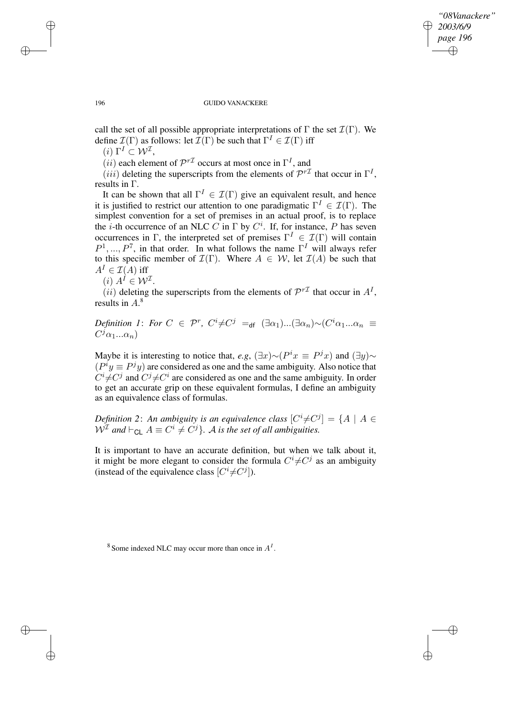✐

#### 196 GUIDO VANACKERE

call the set of all possible appropriate interpretations of  $\Gamma$  the set  $\mathcal{I}(\Gamma)$ . We define  $\mathcal{I}(\Gamma)$  as follows: let  $\mathcal{I}(\Gamma)$  be such that  $\Gamma^I \in \mathcal{I}(\Gamma)$  iff

 $(i) \Gamma^I \subset V^{\mathcal{I}},$ 

 $(ii)$  each element of  $\mathcal{P}^{r\mathcal{I}}$  occurs at most once in  $\Gamma^I$ , and

 $(iii)$  deleting the superscripts from the elements of  $\mathcal{P}^{r\mathcal{I}}$  that occur in  $\Gamma^I$ , results in Γ.

It can be shown that all  $\Gamma^I \in \mathcal{I}(\Gamma)$  give an equivalent result, and hence it is justified to restrict our attention to one paradigmatic  $\Gamma^I \in \mathcal{I}(\Gamma)$ . The simplest convention for a set of premises in an actual proof, is to replace the *i*-th occurrence of an NLC C in  $\Gamma$  by  $C^i$ . If, for instance, P has seven occurrences in Γ, the interpreted set of premises  $\Gamma^I \in \mathcal{I}(\Gamma)$  will contain  $P^1, ..., P^7$ , in that order. In what follows the name  $\Gamma^I$  will always refer to this specific member of  $\mathcal{I}(\Gamma)$ . Where  $A \in \mathcal{W}$ , let  $\mathcal{I}(A)$  be such that  $A^I \in \mathcal{I}(A)$  iff

 $(i)$   $A^{\hat{I}} \in \mathcal{W}^{\mathcal{I}}$ .

 $(ii)$  deleting the superscripts from the elements of  $\mathcal{P}^{r\mathcal{I}}$  that occur in  $A^I$ , results in A. 8

*Definition* 1: *For*  $C \in \mathcal{P}^r$ ,  $C^i \neq C^j =_{df} (\exists \alpha_1) ... (\exists \alpha_n) \sim (C^i \alpha_1 ... \alpha_n)$  $C^j\alpha_1...\alpha_n$ )

Maybe it is interesting to notice that, *e.g*,  $(\exists x) \sim (P^i x \equiv P^j x)$  and  $(\exists y) \sim$  $(P<sup>i</sup>y \equiv P<sup>j</sup>y)$  are considered as one and the same ambiguity. Also notice that  $C^i \neq C^j$  and  $C^j \neq C^i$  are considered as one and the same ambiguity. In order to get an accurate grip on these equivalent formulas, I define an ambiguity as an equivalence class of formulas.

*Definition* 2: An ambiguity is an equivalence class  $[C^i \neq C^j] = \{A \mid A \in$  $W^{\mathcal{I}}$  and  $\vdash_{\mathsf{CL}} A \equiv C^i \neq C^j$ . A *is the set of all ambiguities.* 

It is important to have an accurate definition, but when we talk about it, it might be more elegant to consider the formula  $C^i \neq C^j$  as an ambiguity (instead of the equivalence class  $[C^i \neq C^j]$ ).

 $8$  Some indexed NLC may occur more than once in  $A<sup>I</sup>$ .

✐

✐

✐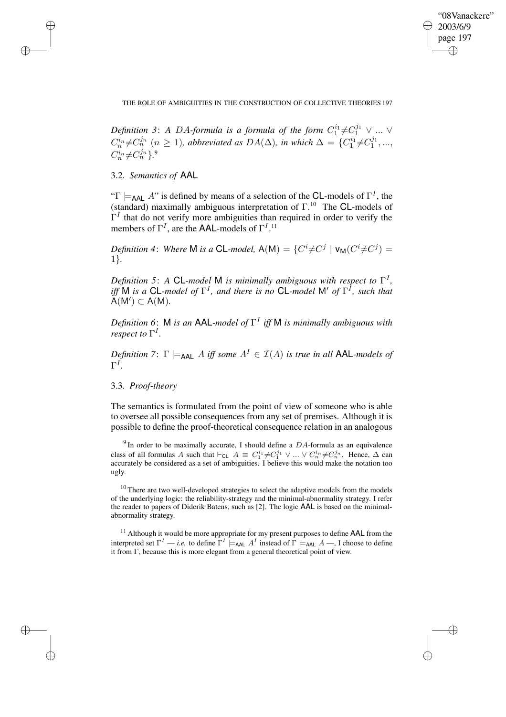✐

THE ROLE OF AMBIGUITIES IN THE CONSTRUCTION OF COLLECTIVE THEORIES 197

Definition 3: A DA-formula is a formula of the form  $C_1^{i_1}$  $i_1^i \neq C_1^{j_1} \vee \dots \vee$  $C_n^{i_n} \neq C_n^{j_n}$   $(n \geq 1)$ , *abbreviated as*  $DA(\Delta)$ , *in which*  $\Delta = \{C_1^{i_1}$  $i_1^{i_1} \neq C_1^{j_1}$  $j_1^{j_1},...,$  $C_n^{i_n} \neq C_n^{j_n}$  }.<sup>9</sup>

3.2. *Semantics of* AAL

✐

✐

✐

✐

" $\Gamma \models_{\text{AAL}} A$ " is defined by means of a selection of the CL-models of  $\Gamma^I$ , the (standard) maximally ambiguous interpretation of  $\Gamma$ <sup>10</sup> The CL-models of  $\Gamma$ <sup>I</sup> that do not verify more ambiguities than required in order to verify the members of  $\Gamma^I$ , are the AAL-models of  $\Gamma^{I}$ .<sup>11</sup>

*Definition* 4: *Where* **M** *is a* **CL**-model,  $A(M) = \{C^i \neq C^j | V_M(C^i \neq C^j) = C^j \}$ 1}*.*

*Definition 5*: *A* CL*-model* M *is minimally ambiguous with respect to* Γ I *,*  $\int$ *iff* M *is a* CL-model of  $\Gamma^I$ , and there is no CL-model M' of  $\Gamma^I$ , such that  $A(M') \subset A(M)$ .

*Definition 6*: M *is an* AAL*-model of* Γ I *iff* M *is minimally ambiguous with respect to*  $\Gamma^I$ .

*Definition* 7:  $\Gamma \models_{\text{AAL}} A$  *iff some*  $A^I \in \mathcal{I}(A)$  *is true in all* **AAL**-models of Γ I *.*

# 3.3. *Proof-theory*

The semantics is formulated from the point of view of someone who is able to oversee all possible consequences from any set of premises. Although it is possible to define the proof-theoretical consequence relation in an analogous

<sup>9</sup> In order to be maximally accurate, I should define a  $DA$ -formula as an equivalence class of all formulas A such that  $\vdash_{CL} A \equiv C_1^{i_1} \neq C_1^{j_1} \vee ... \vee C_n^{i_n} \neq C_n^{j_n}$ . Hence,  $\Delta$  can accurately be considered as a set of ambiguities. I believe this would make the notation too ugly.

<sup>10</sup> There are two well-developed strategies to select the adaptive models from the models of the underlying logic: the reliability-strategy and the minimal-abnormality strategy. I refer the reader to papers of Diderik Batens, such as [2]. The logic AAL is based on the minimalabnormality strategy.

 $11$  Although it would be more appropriate for my present purposes to define AAL from the interpreted set  $\Gamma^I$  — *i.e.* to define  $\Gamma^I \models_{AAL} A^I$  instead of  $\Gamma \models_{AAL} A$  —, I choose to define it from Γ, because this is more elegant from a general theoretical point of view.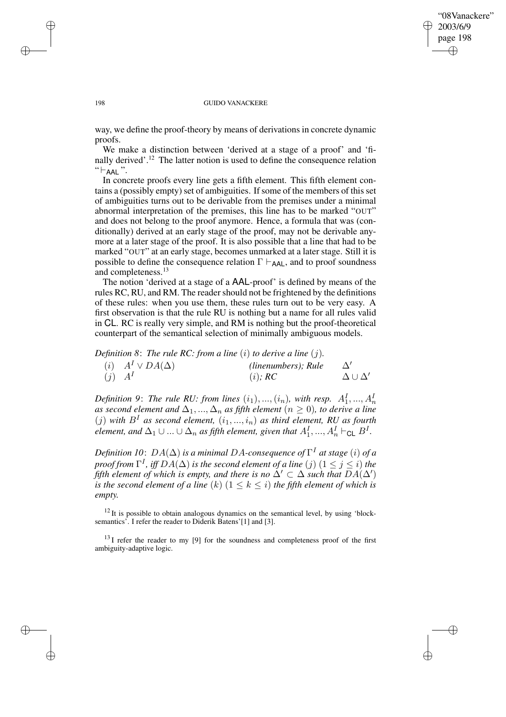## "08Vanackere" 2003/6/9 page 198 ✐ ✐

✐

✐

#### 198 GUIDO VANACKERE

way, we define the proof-theory by means of derivations in concrete dynamic proofs.

We make a distinction between 'derived at a stage of a proof' and 'finally derived'.<sup>12</sup> The latter notion is used to define the consequence relation  $" \vdash$ AAL".

In concrete proofs every line gets a fifth element. This fifth element contains a (possibly empty) set of ambiguities. If some of the members of this set of ambiguities turns out to be derivable from the premises under a minimal abnormal interpretation of the premises, this line has to be marked "OUT" and does not belong to the proof anymore. Hence, a formula that was (conditionally) derived at an early stage of the proof, may not be derivable anymore at a later stage of the proof. It is also possible that a line that had to be marked "OUT" at an early stage, becomes unmarked at a later stage. Still it is possible to define the consequence relation  $\Gamma \vdash_{\mathsf{AAL}}$ , and to proof soundness and completeness.<sup>13</sup>

The notion 'derived at a stage of a AAL-proof' is defined by means of the rules RC, RU, and RM. The reader should not be frightened by the definitions of these rules: when you use them, these rules turn out to be very easy. A first observation is that the rule RU is nothing but a name for all rules valid in CL. RC is really very simple, and RM is nothing but the proof-theoretical counterpart of the semantical selection of minimally ambiguous models.

*Definition 8*: *The rule RC: from a line* (i) *to derive a line* (j)*.*

|            | ( <i>i</i> ) $A^I \vee DA(\Delta)$ | (linenumbers); Rule |                       |
|------------|------------------------------------|---------------------|-----------------------|
| $(j)$ $AI$ |                                    | (i); RC             | $\Delta \cup \Delta'$ |

*Definition* 9: The rule RU: from lines  $(i_1), ..., (i_n)$ , with resp.  $A_1^I, ..., A_n^I$ *as second element and*  $\Delta_1, ..., \Delta_n$  *as fifth element*  $(n \geq 0)$ *, to derive a line*  $(j)$  with  $B<sup>I</sup>$  as second element,  $(i_1, ..., i_n)$  as third element, RU as fourth *element, and*  $\Delta_1 \cup ... \cup \Delta_n$  *as fifth element, given that*  $A_1^I,..., A_n^I \vdash_{\mathsf{CL}} B^I$ .

*Definition 10:*  $DA(\Delta)$  *is a minimal DA-consequence of*  $\Gamma^I$  *at stage*  $(i)$  *of a proof from*  $\Gamma^I$ , *iff*  $DA(\Delta)$  *is the second element of a line*  $(j)$   $(1 \leq j \leq i)$  *the fifth element of which is empty, and there is no*  $\Delta' \subset \Delta$  *such that*  $DA(\Delta')$ *is* the second element of a line  $(k)$   $(1 \leq k \leq i)$  the fifth element of which is *empty.*

 $12$  It is possible to obtain analogous dynamics on the semantical level, by using 'blocksemantics<sup>5</sup>. I refer the reader to Diderik Batens'[1] and [3].

 $^{13}$ I refer the reader to my [9] for the soundness and completeness proof of the first ambiguity-adaptive logic.

✐

✐

✐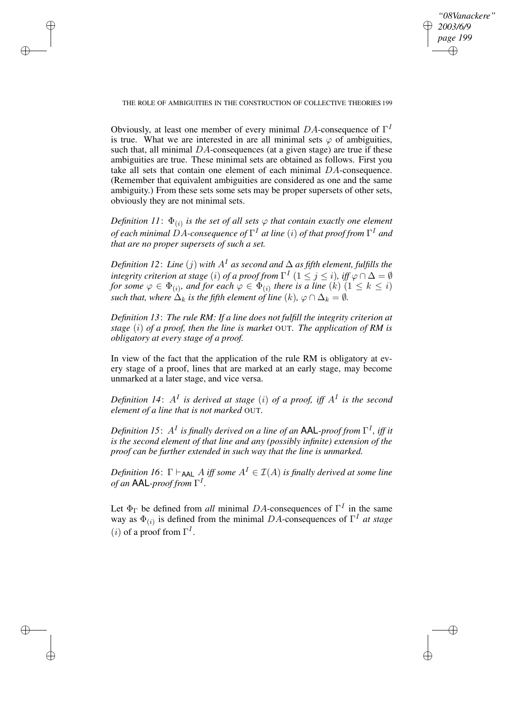✐

THE ROLE OF AMBIGUITIES IN THE CONSTRUCTION OF COLLECTIVE THEORIES 199

✐

✐

✐

✐

Obviously, at least one member of every minimal  $DA$ -consequence of  $\Gamma^I$ is true. What we are interested in are all minimal sets  $\varphi$  of ambiguities, such that, all minimal  $DA$ -consequences (at a given stage) are true if these ambiguities are true. These minimal sets are obtained as follows. First you take all sets that contain one element of each minimal DA-consequence. (Remember that equivalent ambiguities are considered as one and the same ambiguity.) From these sets some sets may be proper supersets of other sets, obviously they are not minimal sets.

*Definition 11*:  $\Phi_{(i)}$  *is the set of all sets*  $\varphi$  *that contain exactly one element of each minimal* DA*-consequence of* Γ <sup>I</sup> *at line* (i) *of that proof from* Γ <sup>I</sup> *and that are no proper supersets of such a set.*

*Definition* 12: *Line* (*j*) *with*  $A<sup>I</sup>$  *as second and*  $\Delta$  *as fifth element, fulfills the*  $i$ *ntegrity criterion at stage*  $(i)$  *of a proof from*  $\Gamma^I$   $(1 \leq j \leq i)$ , iff  $\varphi \cap \Delta = \emptyset$ *for some*  $\varphi \in \Phi_{(i)}$ *, and for each*  $\varphi \in \Phi_{(i)}$  *there is a line*  $(k)$   $(1 \leq k \leq i)$ *such that, where*  $\Delta_k$  *is the fifth element of line*  $(k)$ *,*  $\varphi \cap \Delta_k = \emptyset$ *.* 

*Definition 13*: *The rule RM: If a line does not fulfill the integrity criterion at stage* (i) *of a proof, then the line is market* OUT*. The application of RM is obligatory at every stage of a proof.*

In view of the fact that the application of the rule RM is obligatory at every stage of a proof, lines that are marked at an early stage, may become unmarked at a later stage, and vice versa.

Definition 14:  $A<sup>I</sup>$  is derived at stage (i) of a proof, iff  $A<sup>I</sup>$  is the second *element of a line that is not marked* OUT*.*

*Definition 15*: A<sup>I</sup> *is finally derived on a line of an* AAL*-proof from* Γ I *, iff it is the second element of that line and any (possibly infinite) extension of the proof can be further extended in such way that the line is unmarked.*

*Definition* 16:  $\Gamma \vdash_{\mathsf{AAL}} A$  *iff some*  $A^I \in \mathcal{I}(A)$  *is finally derived at some line of an* AAL*-proof from* Γ I *.*

Let  $\Phi_{\Gamma}$  be defined from *all* minimal DA-consequences of  $\Gamma^{I}$  in the same way as  $\Phi_{(i)}$  is defined from the minimal DA-consequences of  $\Gamma^I$  *at stage* (*i*) of a proof from  $\Gamma^I$ .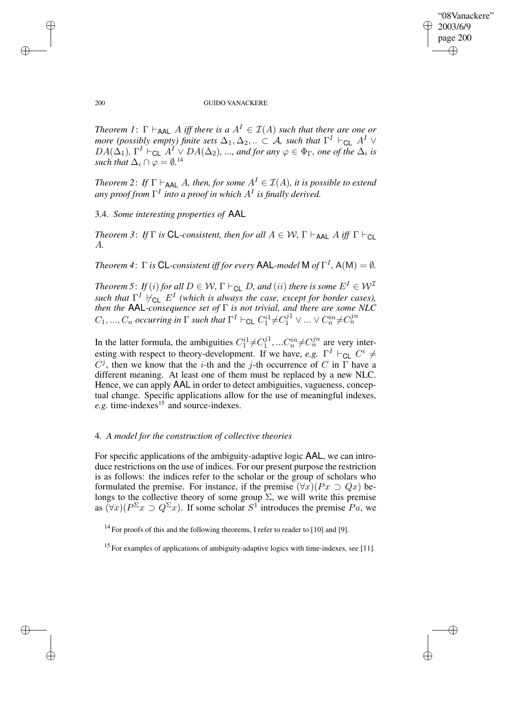✐

#### 200 GUIDO VANACKERE

*Theorem 1*:  $\Gamma \vdash_{AAL} A$  *iff there is*  $a A^I \in I(A)$  *such that there are one or more* (possibly empty) finite sets  $\Delta_1, \Delta_2, ... \subset \mathcal{A}$ , such that  $\Gamma^I \vdash_{\mathsf{CL}} A^I \vee$  $DA(\Delta_1)$ ,  $\Gamma^I \vdash_{\mathsf{CL}} A^I \vee DA(\Delta_2)$ , *...,* and for any  $\varphi \in \Phi_{\Gamma}$ , one of the  $\Delta_i$  is *such that*  $\Delta_i \cap \varphi = \emptyset$ .<sup>14</sup>

*Theorem* 2: *If*  $\Gamma \vdash_{\mathsf{AAL}} A$ *, then, for some*  $A^I \in \mathcal{I}(A)$ *, it is possible to extend any proof from* Γ I *into a proof in which* A<sup>I</sup> *is finally derived.*

3.4. *Some interesting properties of* AAL

*Theorem* 3: *If*  $\Gamma$  *is* **CL**-consistent, then for all  $A \in \mathcal{W}$ ,  $\Gamma \vdash_{\mathsf{AAL}} A$  *iff*  $\Gamma \vdash_{\mathsf{CL}}$ A*.*

*Theorem* 4:  $\Gamma$  *is* CL-consistent *iff* for *every* AAL-model M of  $\Gamma^I$ , A(M) =  $\emptyset$ *.* 

*Theorem* 5: *If* (*i*) *for all*  $D \in W$ ,  $\Gamma \vdash_{CL} D$ , *and* (*ii*) *there is some*  $E^I \in W^T$ *such that*  $\Gamma^I$   $\forall$ <sub>CL</sub>  $E^I$  (which is always the case, except for border cases), *then the* AAL*-consequence set of* Γ *is not trivial, and there are some NLC*  $C_1, ..., C_n$  occurring in  $\Gamma$  such that  $\Gamma^I \vdash_{\textsf{CL}} C_1^{i1} \neq C_1^{j1} \vee ... \vee C_n^{in} \neq C_n^{jn}$ 

In the latter formula, the ambiguities  $C_1^{i_1} \neq C_1^{j_1}$  $C_1^{j1},...C_n^{in} \neq C_n^{jn}$  are very interesting with respect to theory-development. If we have, *e.g.*  $\Gamma^I \vdash_{\mathsf{CL}} C^i \neq$  $C^j$ , then we know that the *i*-th and the *j*-th occurrence of C in  $\Gamma$  have a different meaning. At least one of them must be replaced by a new NLC. Hence, we can apply AAL in order to detect ambiguities, vagueness, conceptual change. Specific applications allow for the use of meaningful indexes, *e.g.* time-indexes<sup>15</sup> and source-indexes.

## 4. *A model for the construction of collective theories*

For specific applications of the ambiguity-adaptive logic AAL, we can introduce restrictions on the use of indices. For our present purpose the restriction is as follows: the indices refer to the scholar or the group of scholars who formulated the premise. For instance, if the premise  $(\forall x)(Px \supset Qx)$  belongs to the collective theory of some group  $\Sigma$ , we will write this premise as  $(\forall x)(P^{\Sigma}x \supset Q^{\Sigma}x)$ . If some scholar  $S^1$  introduces the premise  $Pa$ , we

<sup>14</sup> For proofs of this and the following theorems, I refer to reader to [10] and [9].

 $15$  For examples of applications of ambiguity-adaptive logics with time-indexes, see [11].

✐

✐

✐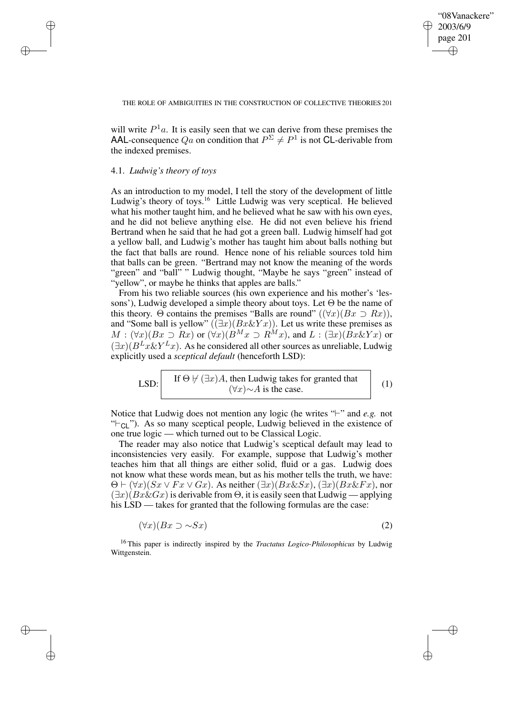✐

(1)

#### THE ROLE OF AMBIGUITIES IN THE CONSTRUCTION OF COLLECTIVE THEORIES 201

will write  $P^1a$ . It is easily seen that we can derive from these premises the AAL-consequence  $Qa$  on condition that  $P^{\Sigma} \neq P^{1}$  is not CL-derivable from the indexed premises.

## 4.1. *Ludwig's theory of toys*

✐

✐

✐

✐

As an introduction to my model, I tell the story of the development of little Ludwig's theory of toys.<sup>16</sup> Little Ludwig was very sceptical. He believed what his mother taught him, and he believed what he saw with his own eyes, and he did not believe anything else. He did not even believe his friend Bertrand when he said that he had got a green ball. Ludwig himself had got a yellow ball, and Ludwig's mother has taught him about balls nothing but the fact that balls are round. Hence none of his reliable sources told him that balls can be green. "Bertrand may not know the meaning of the words "green" and "ball" " Ludwig thought, "Maybe he says "green" instead of "yellow", or maybe he thinks that apples are balls."

From his two reliable sources (his own experience and his mother's 'lessons'), Ludwig developed a simple theory about toys. Let  $\Theta$  be the name of this theory. Θ contains the premises "Balls are round"  $(\forall x)(Bx \supset Rx)$ ), and "Some ball is yellow"  $((\exists x)(Bx \& Yx))$ . Let us write these premises as  $M : (\forall x)(Bx \supset Rx)$  or  $(\forall x)(B^Mx \supset R^Mx)$ , and  $L : (\exists x)(Bx \& Yx)$  or  $(\exists x)(B^L x \& Y^L x)$ . As he considered all other sources as unreliable, Ludwig explicitly used a *sceptical default* (henceforth LSD):

LSD: If 
$$
\Theta \nvDash (\exists x)A
$$
, then Ludwig takes for granted that  $(\forall x) \sim A$  is the case.

Notice that Ludwig does not mention any logic (he writes "<sup>+</sup>" and *e.g.* not " $\vdash_{\text{Cl}}$ "). As so many sceptical people, Ludwig believed in the existence of one true logic — which turned out to be Classical Logic.

The reader may also notice that Ludwig's sceptical default may lead to inconsistencies very easily. For example, suppose that Ludwig's mother teaches him that all things are either solid, fluid or a gas. Ludwig does not know what these words mean, but as his mother tells the truth, we have:  $\Theta \vdash (\forall x)(Sx \lor Fx \lor Gx)$ . As neither  $(\exists x)(Bx \& Sx)$ ,  $(\exists x)(Bx \& Fx)$ , nor  $(\exists x)(Bx\&Gx)$  is derivable from  $\Theta$ , it is easily seen that Ludwig — applying his LSD — takes for granted that the following formulas are the case:

$$
(\forall x)(Bx \supset \sim Sx) \tag{2}
$$

<sup>16</sup> This paper is indirectly inspired by the *Tractatus Logico-Philosophicus* by Ludwig Wittgenstein.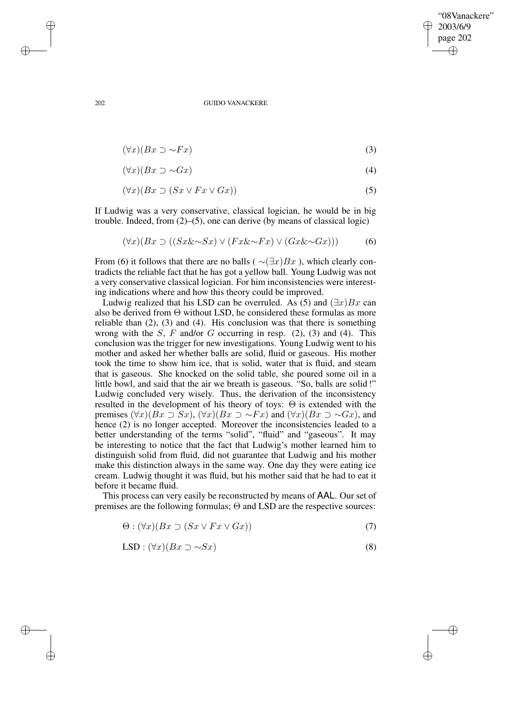✐

#### 202 GUIDO VANACKERE

$$
(\forall x)(Bx \supset \sim Fx) \tag{3}
$$

$$
(\forall x)(Bx \supset \sim Gx) \tag{4}
$$

$$
(\forall x)(Bx \supset (Sx \lor Fx \lor Gx)) \tag{5}
$$

If Ludwig was a very conservative, classical logician, he would be in big trouble. Indeed, from (2)–(5), one can derive (by means of classical logic)

$$
(\forall x)(Bx \supset ((Sx \& \sim Sx) \vee (Fx \& \sim Fx) \vee (Gx \& \sim Gx))) \tag{6}
$$

From (6) it follows that there are no balls ( $\sim(\exists x)Bx$ ), which clearly contradicts the reliable fact that he has got a yellow ball. Young Ludwig was not a very conservative classical logician. For him inconsistencies were interesting indications where and how this theory could be improved.

Ludwig realized that his LSD can be overruled. As (5) and  $(\exists x)Bx$  can also be derived from Θ without LSD, he considered these formulas as more reliable than (2), (3) and (4). His conclusion was that there is something wrong with the  $S$ ,  $F$  and/or  $G$  occurring in resp. (2), (3) and (4). This conclusion was the trigger for new investigations. Young Ludwig went to his mother and asked her whether balls are solid, fluid or gaseous. His mother took the time to show him ice, that is solid, water that is fluid, and steam that is gaseous. She knocked on the solid table, she poured some oil in a little bowl, and said that the air we breath is gaseous. "So, balls are solid!" Ludwig concluded very wisely. Thus, the derivation of the inconsistency resulted in the development of his theory of toys: Θ is extended with the premises  $(\forall x)(Bx \supset Sx)$ ,  $(\forall x)(Bx \supset \sim Fx)$  and  $(\forall x)(Bx \supset \sim Gx)$ , and hence (2) is no longer accepted. Moreover the inconsistencies leaded to a better understanding of the terms "solid", "fluid" and "gaseous". It may be interesting to notice that the fact that Ludwig's mother learned him to distinguish solid from fluid, did not guarantee that Ludwig and his mother make this distinction always in the same way. One day they were eating ice cream. Ludwig thought it was fluid, but his mother said that he had to eat it before it became fluid.

This process can very easily be reconstructed by means of AAL. Our set of premises are the following formulas; Θ and LSD are the respective sources:

$$
\Theta : (\forall x)(Bx \supset (Sx \vee Fx \vee Gx)) \tag{7}
$$

$$
LSD: (\forall x)(Bx \supset \sim Sx) \tag{8}
$$

✐

✐

✐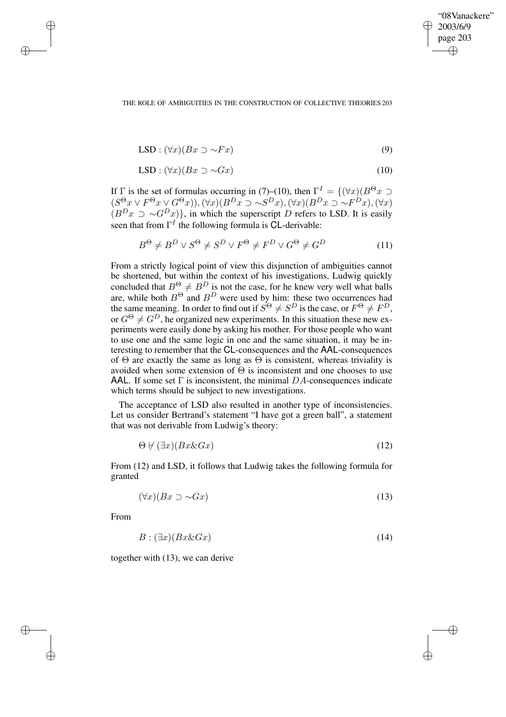✐

#### THE ROLE OF AMBIGUITIES IN THE CONSTRUCTION OF COLLECTIVE THEORIES 203

$$
LSD: (\forall x)(Bx \supset \sim Fx) \tag{9}
$$

$$
LSD: (\forall x)(Bx \supset \sim Gx) \tag{10}
$$

If  $\Gamma$  is the set of formulas occurring in (7)–(10), then  $\Gamma^I = \{(\forall x)(B^{\Theta} x \supset$  $(S^{\Theta}x \vee F^{\Theta}x \vee G^{\Theta}x), (\forall x)(B^{D}x \supset \sim S^{D}x), (\forall x)(B^{D}x \supset \sim F^{D}x), (\forall x)$  $(B<sup>D</sup>x \supset \sim G<sup>D</sup>x)$ , in which the superscript D refers to LSD. It is easily seen that from  $\Gamma^I$  the following formula is CL-derivable:

$$
B^{\Theta} \neq B^{D} \vee S^{\Theta} \neq S^{D} \vee F^{\Theta} \neq F^{D} \vee G^{\Theta} \neq G^{D}
$$
 (11)

From a strictly logical point of view this disjunction of ambiguities cannot be shortened, but within the context of his investigations, Ludwig quickly concluded that  $B^{\Theta} \neq B^{D}$  is not the case, for he knew very well what balls are, while both  $B^{\Theta}$  and  $B^D$  were used by him: these two occurrences had the same meaning. In order to find out if  $S^{\Theta} \neq S^D$  is the case, or  $F^{\Theta} \neq F^D$ , or  $G^{\Theta} \neq G^D$ , he organized new experiments. In this situation these new experiments were easily done by asking his mother. For those people who want to use one and the same logic in one and the same situation, it may be interesting to remember that the CL-consequences and the AAL-consequences of  $\Theta$  are exactly the same as long as  $\Theta$  is consistent, whereas triviality is avoided when some extension of  $\Theta$  is inconsistent and one chooses to use AAL. If some set  $\Gamma$  is inconsistent, the minimal DA-consequences indicate which terms should be subject to new investigations.

The acceptance of LSD also resulted in another type of inconsistencies. Let us consider Bertrand's statement "I have got a green ball", a statement that was not derivable from Ludwig's theory:

$$
\Theta \not\vdash (\exists x)(Bx \& Gx) \tag{12}
$$

From (12) and LSD, it follows that Ludwig takes the following formula for granted

$$
(\forall x)(Bx \supset \sim Gx) \tag{13}
$$

From

✐

✐

✐

✐

$$
B: (\exists x)(Bx \& Gx) \tag{14}
$$

together with (13), we can derive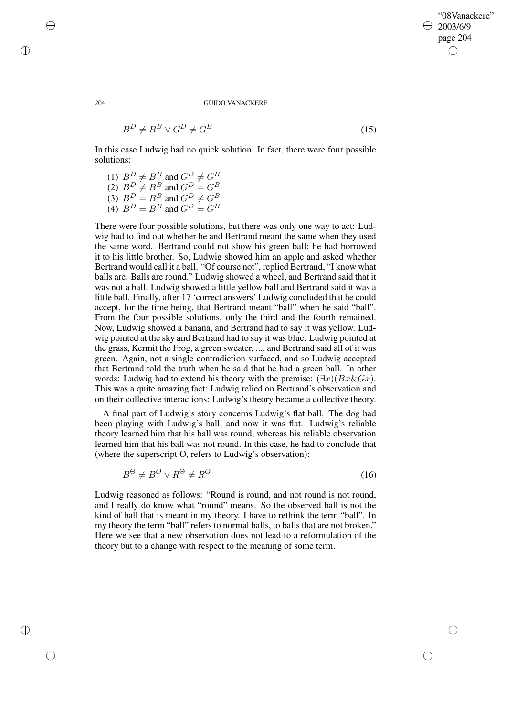✐

#### 204 GUIDO VANACKERE

$$
B^D \neq B^B \lor G^D \neq G^B \tag{15}
$$

In this case Ludwig had no quick solution. In fact, there were four possible solutions:

(1)  $B^D \neq B^B$  and  $G^D \neq G^B$ (2)  $B^D \neq B^B$  and  $G^D = G^B$ (3)  $B^D = B^B$  and  $G^D \neq G^B$ (4)  $B^D = B^B$  and  $G^D = G^B$ 

There were four possible solutions, but there was only one way to act: Ludwig had to find out whether he and Bertrand meant the same when they used the same word. Bertrand could not show his green ball; he had borrowed it to his little brother. So, Ludwig showed him an apple and asked whether Bertrand would call it a ball. "Of course not", replied Bertrand, "I know what balls are. Balls are round." Ludwig showed a wheel, and Bertrand said that it was not a ball. Ludwig showed a little yellow ball and Bertrand said it was a little ball. Finally, after 17 'correct answers' Ludwig concluded that he could accept, for the time being, that Bertrand meant "ball" when he said "ball". From the four possible solutions, only the third and the fourth remained. Now, Ludwig showed a banana, and Bertrand had to say it was yellow. Ludwig pointed at the sky and Bertrand had to say it was blue. Ludwig pointed at the grass, Kermit the Frog, a green sweater, ..., and Bertrand said all of it was green. Again, not a single contradiction surfaced, and so Ludwig accepted that Bertrand told the truth when he said that he had a green ball. In other words: Ludwig had to extend his theory with the premise:  $(\exists x)(Bx\&Gx)$ . This was a quite amazing fact: Ludwig relied on Bertrand's observation and on their collective interactions: Ludwig's theory became a collective theory.

A final part of Ludwig's story concerns Ludwig's flat ball. The dog had been playing with Ludwig's ball, and now it was flat. Ludwig's reliable theory learned him that his ball was round, whereas his reliable observation learned him that his ball was not round. In this case, he had to conclude that (where the superscript O, refers to Ludwig's observation):

$$
B^{\Theta} \neq B^{O} \vee R^{\Theta} \neq R^{O} \tag{16}
$$

Ludwig reasoned as follows: "Round is round, and not round is not round, and I really do know what "round" means. So the observed ball is not the kind of ball that is meant in my theory. I have to rethink the term "ball". In my theory the term "ball" refers to normal balls, to balls that are not broken." Here we see that a new observation does not lead to a reformulation of the theory but to a change with respect to the meaning of some term.

✐

✐

✐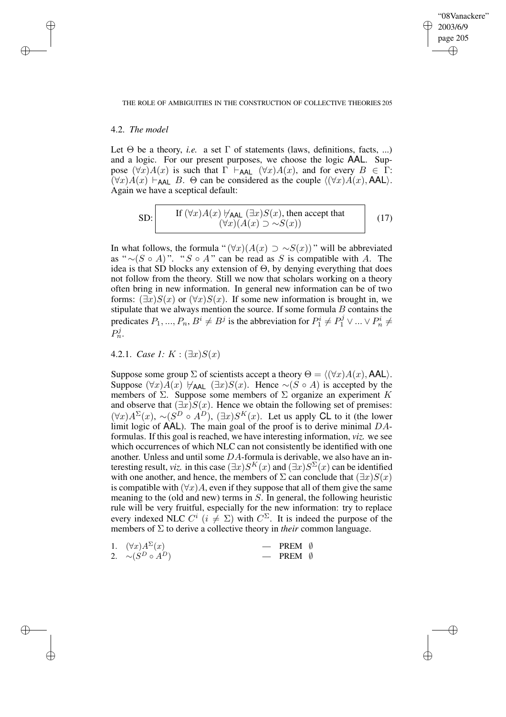✐

#### THE ROLE OF AMBIGUITIES IN THE CONSTRUCTION OF COLLECTIVE THEORIES 205

## 4.2. *The model*

✐

✐

✐

✐

Let  $\Theta$  be a theory, *i.e.* a set  $\Gamma$  of statements (laws, definitions, facts, ...) and a logic. For our present purposes, we choose the logic AAL. Suppose  $(\forall x)A(x)$  is such that  $\Gamma \vdash_{\mathsf{AAL}} (\forall x)A(x)$ , and for every  $B \in \Gamma$ :  $(\forall x)A(x) \vdash_{\mathsf{AAL}} B$ .  $\Theta$  can be considered as the couple  $\langle (\forall x)A(x), \mathsf{AAL}\rangle$ . Again we have a sceptical default:

SD: If 
$$
(\forall x)A(x)
$$
  $\forall$ <sub>AAL</sub>  $(\exists x)S(x)$ , then accept that  
 $(\forall x)(A(x) \supset \sim S(x))$  (17)

In what follows, the formula " $(\forall x)(A(x) \supset \sim S(x))$ " will be abbreviated as "  $∼(S \circ A)$ ". "S ∘ A " can be read as S is compatible with A. The idea is that SD blocks any extension of  $\Theta$ , by denying everything that does not follow from the theory. Still we now that scholars working on a theory often bring in new information. In general new information can be of two forms:  $(\exists x)S(x)$  or  $(\forall x)S(x)$ . If some new information is brought in, we stipulate that we always mention the source. If some formula  $B$  contains the predicates  $P_1, ..., P_n, B^i \neq B^j$  is the abbreviation for  $P_1^i \neq P_1^j \vee ... \vee P_n^i \neq$  $P_n^j.$ 

4.2.1. *Case* 1:  $K : (\exists x)S(x)$ 

Suppose some group  $\Sigma$  of scientists accept a theory  $\Theta = \langle (\forall x)A(x), AAL \rangle$ . Suppose  $(\forall x)A(x) \not\vdash_{AAL} (\exists x)S(x)$ . Hence ∼(S ∘ A) is accepted by the members of  $\Sigma$ . Suppose some members of  $\Sigma$  organize an experiment K and observe that  $(\exists x)S(x)$ . Hence we obtain the following set of premises:  $(\forall x)A^{\Sigma}(x), \sim (S^D \circ A^D), (\exists x)S^{K}(x)$ . Let us apply CL to it (the lower limit logic of  $AAL$ ). The main goal of the proof is to derive minimal  $DA$ formulas. If this goal is reached, we have interesting information, *viz.* we see which occurrences of which NLC can not consistently be identified with one another. Unless and until some  $DA$ -formula is derivable, we also have an interesting result, *viz.* in this case  $(\exists x)S^{K}(x)$  and  $(\exists x)S^{\Sigma}(x)$  can be identified with one another, and hence, the members of  $\Sigma$  can conclude that  $(\exists x)S(x)$ is compatible with  $(\forall x)A$ , even if they suppose that all of them give the same meaning to the (old and new) terms in  $S$ . In general, the following heuristic rule will be very fruitful, especially for the new information: try to replace every indexed NLC  $C^i$   $(i \neq \Sigma)$  with  $C^{\Sigma}$ . It is indeed the purpose of the members of Σ to derive a collective theory in *their* common language.

| 1. $(\forall x) A^{\Sigma}(x)$ | $-$ PREM $\emptyset$ |  |
|--------------------------------|----------------------|--|
| 2. $\sim (S^D \circ A^D)$      | $-$ PREM $\emptyset$ |  |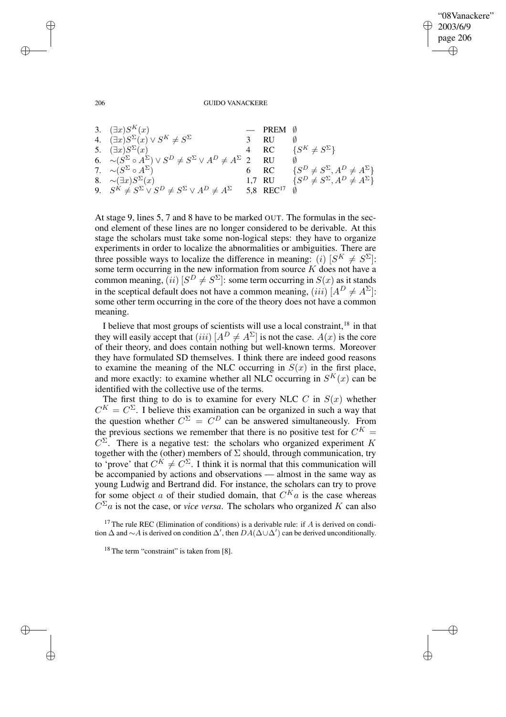✐

#### 206 GUIDO VANACKERE

| 3. $(\exists x)S^{K}(x)$                                                                           | $-$ PREM $\emptyset$              |                                                    |
|----------------------------------------------------------------------------------------------------|-----------------------------------|----------------------------------------------------|
| 4. $(\exists x)S^{\Sigma}(x) \vee S^{K} \neq S^{\Sigma}$                                           | -RU                               | Ø                                                  |
| 5. $(\exists x)S^{\Sigma}(x)$                                                                      |                                   | RC $\{S^K \neq S^{\Sigma}\}\$                      |
| 6. $\sim (S^{\Sigma} \circ A^{\Sigma}) \vee S^{D} \neq S^{\Sigma} \vee A^{D} \neq A^{\Sigma}$ 2 RU |                                   |                                                    |
| 7. $\sim (S^{\Sigma} \circ A^{\Sigma})$                                                            |                                   | RC $\{S^D \neq S^{\Sigma}, A^D \neq A^{\Sigma}\}\$ |
| 8. $\sim (\exists x) S^{\Sigma}(x)$                                                                | 1,7 RU                            | $\{S^D \neq S^{\Sigma}, A^D \neq A^{\Sigma}\}\$    |
| 9. $S^K \neq S^{\Sigma} \vee S^D \neq S^{\Sigma} \vee A^D \neq A^{\Sigma}$                         | 5,8 REC <sup>17</sup> $\emptyset$ |                                                    |

At stage 9, lines 5, 7 and 8 have to be marked OUT. The formulas in the second element of these lines are no longer considered to be derivable. At this stage the scholars must take some non-logical steps: they have to organize experiments in order to localize the abnormalities or ambiguities. There are three possible ways to localize the difference in meaning: (i)  $[S^K \neq S^{\Sigma}]$ : some term occurring in the new information from source  $K$  does not have a common meaning,  $(ii)$   $[S^D \neq S^{\Sigma}]$ : some term occurring in  $S(x)$  as it stands in the sceptical default does not have a common meaning, (iii)  $[A^D \neq A^{\Sigma}]$ : some other term occurring in the core of the theory does not have a common meaning.

I believe that most groups of scientists will use a local constraint,<sup>18</sup> in that they will easily accept that (iii)  $[A^D \neq A^{\Sigma}]$  is not the case.  $A(x)$  is the core of their theory, and does contain nothing but well-known terms. Moreover they have formulated SD themselves. I think there are indeed good reasons to examine the meaning of the NLC occurring in  $S(x)$  in the first place, and more exactly: to examine whether all NLC occurring in  $S^{K}(x)$  can be identified with the collective use of the terms.

The first thing to do is to examine for every NLC  $C$  in  $S(x)$  whether  $C^{K} = C^{\Sigma}$ . I believe this examination can be organized in such a way that the question whether  $C^{\Sigma} = C^{D}$  can be answered simultaneously. From the previous sections we remember that there is no positive test for  $C^{K}$  =  $C^{\Sigma}$ . There is a negative test: the scholars who organized experiment K together with the (other) members of  $\Sigma$  should, through communication, try to 'prove' that  $C^K \neq C^{\Sigma}$ . I think it is normal that this communication will be accompanied by actions and observations — almost in the same way as young Ludwig and Bertrand did. For instance, the scholars can try to prove for some object a of their studied domain, that  $C^{K}a$  is the case whereas  $C^{\Sigma}a$  is not the case, or *vice versa*. The scholars who organized K can also

<sup>17</sup> The rule REC (Elimination of conditions) is a derivable rule: if  $A$  is derived on condition  $\Delta$  and ∼A is derived on condition  $\Delta'$ , then  $DA(\Delta\cup\Delta')$  can be derived unconditionally.

✐

✐

✐

 $18$  The term "constraint" is taken from [8].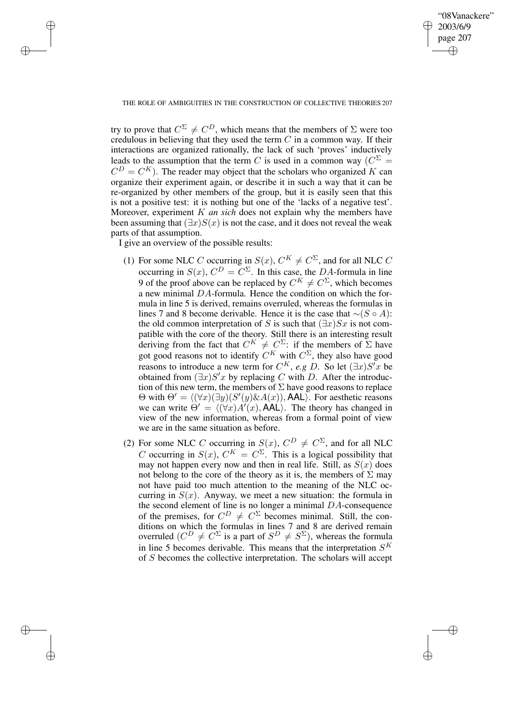✐

#### THE ROLE OF AMBIGUITIES IN THE CONSTRUCTION OF COLLECTIVE THEORIES 207

try to prove that  $C^{\Sigma} \neq C^{D}$ , which means that the members of  $\Sigma$  were too credulous in believing that they used the term  $C$  in a common way. If their interactions are organized rationally, the lack of such 'proves' inductively leads to the assumption that the term C is used in a common way  $(C^{\Sigma})$  $C^{D} = C^{K}$ ). The reader may object that the scholars who organized K can organize their experiment again, or describe it in such a way that it can be re-organized by other members of the group, but it is easily seen that this is not a positive test: it is nothing but one of the 'lacks of a negative test'. Moreover, experiment K *an sich* does not explain why the members have been assuming that  $(\exists x)S(x)$  is not the case, and it does not reveal the weak parts of that assumption.

I give an overview of the possible results:

✐

✐

✐

- (1) For some NLC C occurring in  $S(x)$ ,  $C^K \neq C^{\Sigma}$ , and for all NLC C occurring in  $S(x)$ ,  $C^D = C^{\Sigma}$ . In this case, the DA-formula in line 9 of the proof above can be replaced by  $C^K \neq C^{\Sigma}$ , which becomes a new minimal DA-formula. Hence the condition on which the formula in line 5 is derived, remains overruled, whereas the formulas in lines 7 and 8 become derivable. Hence it is the case that  $∼(S \circ A)$ : the old common interpretation of S is such that  $(\exists x)Sx$  is not compatible with the core of the theory. Still there is an interesting result deriving from the fact that  $C^K \neq C^{\Sigma}$ : if the members of  $\Sigma$  have got good reasons not to identify  $C^K$  with  $C^{\Sigma}$ , they also have good reasons to introduce a new term for  $C^K$ , *e.g* D. So let  $(\exists x)S'x$  be obtained from  $(\exists x)S'x$  by replacing C with D. After the introduction of this new term, the members of  $\Sigma$  have good reasons to replace  $\Theta$  with  $\Theta' = \langle (\forall x)(\exists y)(S'(y) \& A(x)),$  AAL). For aesthetic reasons we can write  $\Theta' = \langle (\forall x) A'(x), A \angle \rangle$ . The theory has changed in view of the new information, whereas from a formal point of view we are in the same situation as before.
- (2) For some NLC C occurring in  $S(x)$ ,  $C^D \neq C^{\Sigma}$ , and for all NLC C occurring in  $S(x)$ ,  $C^{K} = C^{\Sigma}$ . This is a logical possibility that may not happen every now and then in real life. Still, as  $S(x)$  does not belong to the core of the theory as it is, the members of  $\Sigma$  may not have paid too much attention to the meaning of the NLC occurring in  $S(x)$ . Anyway, we meet a new situation: the formula in the second element of line is no longer a minimal DA-consequence of the premises, for  $C^D \neq C^{\Sigma}$  becomes minimal. Still, the conditions on which the formulas in lines 7 and 8 are derived remain overruled  $(C^D \neq C^{\Sigma}$  is a part of  $S^D \neq S^{\Sigma}$ ), whereas the formula in line 5 becomes derivable. This means that the interpretation  $S^K$ of S becomes the collective interpretation. The scholars will accept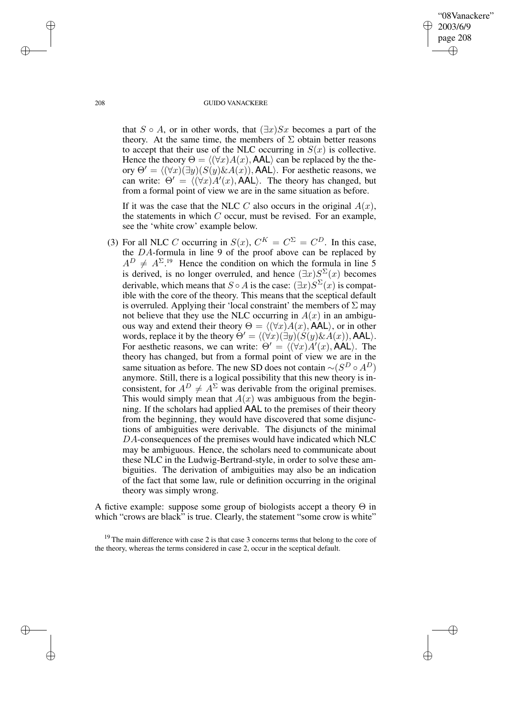✐

#### 208 GUIDO VANACKERE

that  $S \circ A$ , or in other words, that  $(\exists x) Sx$  becomes a part of the theory. At the same time, the members of  $\Sigma$  obtain better reasons to accept that their use of the NLC occurring in  $S(x)$  is collective. Hence the theory  $\Theta = \langle (\forall x)A(x), AAL \rangle$  can be replaced by the theory  $\Theta' = \langle (\forall x)(\exists y)(S(y)\&A(x)),$  AAL $\rangle$ . For aesthetic reasons, we can write:  $\Theta' = \langle (\forall x) A'(x), \overline{A A L} \rangle$ . The theory has changed, but from a formal point of view we are in the same situation as before.

If it was the case that the NLC C also occurs in the original  $A(x)$ , the statements in which  $C$  occur, must be revised. For an example, see the 'white crow' example below.

(3) For all NLC C occurring in  $S(x)$ ,  $C^{K} = C^{\Sigma} = C^{D}$ . In this case, the DA-formula in line 9 of the proof above can be replaced by  $A^D \neq A^{\Sigma}$ .<sup>19</sup> Hence the condition on which the formula in line 5 is derived, is no longer overruled, and hence  $(\exists x) S^{\Sigma}(x)$  becomes derivable, which means that  $S \circ A$  is the case:  $(\exists x) S^{\Sigma}(x)$  is compatible with the core of the theory. This means that the sceptical default is overruled. Applying their 'local constraint' the members of  $\Sigma$  may not believe that they use the NLC occurring in  $A(x)$  in an ambiguous way and extend their theory  $\Theta = \langle (\forall x)A(x), \hat{A}A\hat{L}\rangle$ , or in other words, replace it by the theory  $\Theta' = \langle (\forall x)(\exists y)(S(y)\&A(x)), \text{AAL}\rangle$ . For aesthetic reasons, we can write:  $\Theta' = \langle (\forall x) A'(x), \hat{A} A L \rangle$ . The theory has changed, but from a formal point of view we are in the same situation as before. The new SD does not contain  $\sim (S^D \circ A^D)$ anymore. Still, there is a logical possibility that this new theory is inconsistent, for  $A^D \neq A^{\Sigma}$  was derivable from the original premises. This would simply mean that  $A(x)$  was ambiguous from the beginning. If the scholars had applied AAL to the premises of their theory from the beginning, they would have discovered that some disjunctions of ambiguities were derivable. The disjuncts of the minimal DA-consequences of the premises would have indicated which NLC may be ambiguous. Hence, the scholars need to communicate about these NLC in the Ludwig-Bertrand-style, in order to solve these ambiguities. The derivation of ambiguities may also be an indication of the fact that some law, rule or definition occurring in the original theory was simply wrong.

A fictive example: suppose some group of biologists accept a theory  $\Theta$  in which "crows are black" is true. Clearly, the statement "some crow is white"

 $19$  The main difference with case 2 is that case 3 concerns terms that belong to the core of the theory, whereas the terms considered in case 2, occur in the sceptical default.

✐

✐

✐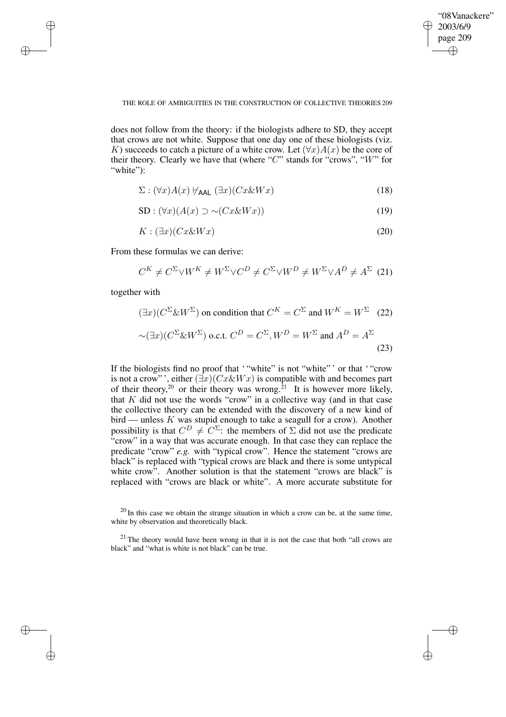✐

#### THE ROLE OF AMBIGUITIES IN THE CONSTRUCTION OF COLLECTIVE THEORIES 209

does not follow from the theory: if the biologists adhere to SD, they accept that crows are not white. Suppose that one day one of these biologists (viz. K) succeeds to catch a picture of a white crow. Let  $(\forall x)A(x)$  be the core of their theory. Clearly we have that (where " $C$ " stands for "crows", " $W$ " for "white":

$$
\Sigma : (\forall x) A(x) \not\models_{\mathsf{AAL}} (\exists x) (Cx \& Wx) \tag{18}
$$

$$
SD: (\forall x)(A(x) \supset \sim (Cx \& Wx))
$$
\n(19)

$$
K: (\exists x)(Cx \& Wx) \tag{20}
$$

From these formulas we can derive:

$$
C^{K} \neq C^{\Sigma} \vee W^{K} \neq W^{\Sigma} \vee C^{D} \neq C^{\Sigma} \vee W^{D} \neq W^{\Sigma} \vee A^{D} \neq A^{\Sigma}
$$
 (21)

together with

✐

✐

✐

✐

$$
(\exists x)(C^{\Sigma} \& W^{\Sigma}) \text{ on condition that } C^{K} = C^{\Sigma} \text{ and } W^{K} = W^{\Sigma} \quad (22)
$$

$$
\sim (\exists x)(C^{\Sigma} \& W^{\Sigma}) \text{ o.c.t. } C^{D} = C^{\Sigma}, W^{D} = W^{\Sigma} \text{ and } A^{D} = A^{\Sigma} \quad (23)
$$

If the biologists find no proof that "white" is not "white" ' or that "crow is not a crow"', either  $(\exists x)(Cx\&Wx)$  is compatible with and becomes part of their theory,<sup>20</sup> or their theory was wrong.<sup>21</sup> It is however more likely, that  $K$  did not use the words "crow" in a collective way (and in that case the collective theory can be extended with the discovery of a new kind of bird — unless  $K$  was stupid enough to take a seagull for a crow). Another possibility is that  $C^D \neq C^{\Sigma}$ : the members of  $\Sigma$  did not use the predicate "crow" in a way that was accurate enough. In that case they can replace the predicate "crow" *e.g.* with "typical crow". Hence the statement "crows are black" is replaced with "typical crows are black and there is some untypical white crow". Another solution is that the statement "crows are black" is replaced with "crows are black or white". A more accurate substitute for

 $20$  In this case we obtain the strange situation in which a crow can be, at the same time, white by observation and theoretically black.

<sup>&</sup>lt;sup>21</sup> The theory would have been wrong in that it is not the case that both "all crows are black" and "what is white is not black" can be true.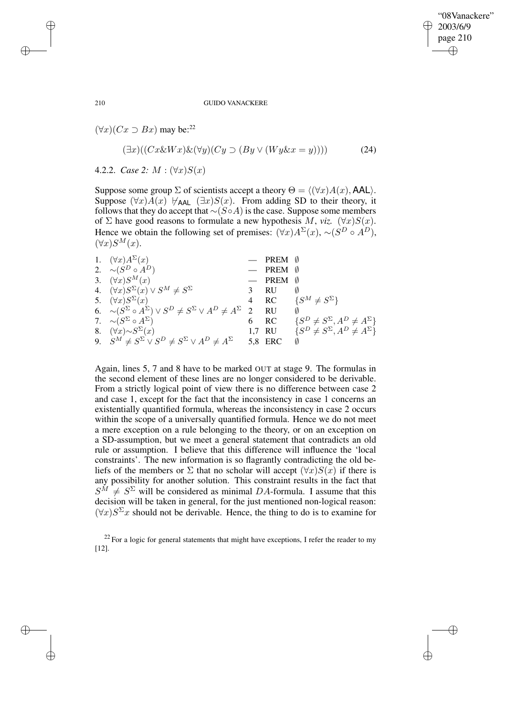✐

#### 210 GUIDO VANACKERE

 $(\forall x)(Cx \supset Bx)$  may be:<sup>22</sup>

$$
(\exists x)((Cx \& Wx) \& (\forall y)(Cy \supset (By \vee (Wy \& x = y)))) \tag{24}
$$

4.2.2. *Case* 2:  $M : (\forall x)S(x)$ 

Suppose some group  $\Sigma$  of scientists accept a theory  $\Theta = \langle (\forall x)A(x), AAL \rangle$ . Suppose  $(\forall x)A(x)$   $\nvdash_{AAL} (\exists x)S(x)$ . From adding SD to their theory, it follows that they do accept that  $∼(S \circ A)$  is the case. Suppose some members of  $\Sigma$  have good reasons to formulate a new hypothesis M, *viz.* ( $\forall x$ ) $S(x)$ . Hence we obtain the following set of premises:  $(\forall x) A^{\Sigma}(x), \sim (S^D \circ A^D)$ ,  $(\forall x)S^M(x).$ 

| 1. $(\forall x) A^{\Sigma}(x)$                                                                     | $-$ PREM $\emptyset$ |                                                   |
|----------------------------------------------------------------------------------------------------|----------------------|---------------------------------------------------|
| 2. $\sim (S^D \circ A^D)$                                                                          | $-$ PREM $\emptyset$ |                                                   |
| 3. $(\forall x)S^M(x)$                                                                             | $-$ PREM $\emptyset$ |                                                   |
| 4. $(\forall x)S^{\Sigma}(x) \vee S^M \neq S^{\Sigma}$                                             | 3 RU                 |                                                   |
| 5. $(\forall x)S^{\Sigma}(x)$                                                                      |                      | 4 RC $\{S^M \neq S^{\Sigma}\}\$                   |
| 6. $\sim (S^{\Sigma} \circ A^{\Sigma}) \vee S^{D} \neq S^{\Sigma} \vee A^{D} \neq A^{\Sigma}$ 2 RU |                      |                                                   |
| 7. $\sim (S^{\Sigma} \circ A^{\Sigma})$                                                            | 6 RC                 | $\{S^D \neq S^{\Sigma}, A^D \neq A^{\Sigma}\}\$   |
| 8. $(\forall x) \sim S^{\Sigma}(x)$                                                                |                      | 1,7 RU $\{S^D \neq S^\Sigma, A^D \neq A^\Sigma\}$ |
| 9. $S^M \neq S^{\Sigma} \vee S^D \neq S^{\Sigma} \vee A^D \neq A^{\Sigma}$                         | 5,8 ERC              |                                                   |
|                                                                                                    |                      |                                                   |

Again, lines 5, 7 and 8 have to be marked OUT at stage 9. The formulas in the second element of these lines are no longer considered to be derivable. From a strictly logical point of view there is no difference between case 2 and case 1, except for the fact that the inconsistency in case 1 concerns an existentially quantified formula, whereas the inconsistency in case 2 occurs within the scope of a universally quantified formula. Hence we do not meet a mere exception on a rule belonging to the theory, or on an exception on a SD-assumption, but we meet a general statement that contradicts an old rule or assumption. I believe that this difference will influence the 'local constraints'. The new information is so flagrantly contradicting the old beliefs of the members or  $\Sigma$  that no scholar will accept  $(\forall x)S(x)$  if there is any possibility for another solution. This constraint results in the fact that  $S^M \neq S^{\Sigma}$  will be considered as minimal DA-formula. I assume that this decision will be taken in general, for the just mentioned non-logical reason:  $(\forall x) S^{\Sigma} x$  should not be derivable. Hence, the thing to do is to examine for

 $22$  For a logic for general statements that might have exceptions, I refer the reader to my [12].

✐

✐

✐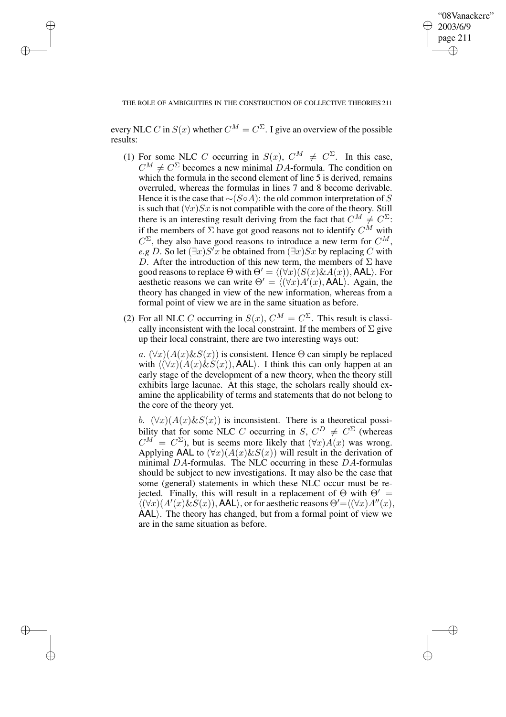✐

THE ROLE OF AMBIGUITIES IN THE CONSTRUCTION OF COLLECTIVE THEORIES 211

✐

✐

✐

✐

every NLC C in  $S(x)$  whether  $C^M = C^{\Sigma}$ . I give an overview of the possible results:

- (1) For some NLC C occurring in  $S(x)$ ,  $C^M \neq C^{\Sigma}$ . In this case,  $C^M \neq C^{\Sigma}$  becomes a new minimal DA-formula. The condition on which the formula in the second element of line 5 is derived, remains overruled, whereas the formulas in lines 7 and 8 become derivable. Hence it is the case that  $\sim$ (S∘A): the old common interpretation of S is such that  $(\forall x)Sx$  is not compatible with the core of the theory. Still there is an interesting result deriving from the fact that  $C^M \neq C^{\Sigma}$ : if the members of  $\Sigma$  have got good reasons not to identify  $C^M$  with  $C^{\Sigma}$ , they also have good reasons to introduce a new term for  $C^M$ , *e.g* D. So let  $(\exists x)S'x$  be obtained from  $(\exists x)Sx$  by replacing C with D. After the introduction of this new term, the members of  $\Sigma$  have good reasons to replace  $\Theta$  with  $\Theta' = \langle (\forall x)(S(x)\&A(x)),$  AAL $\rangle$ . For aesthetic reasons we can write  $\Theta' = \langle (\forall x)A'(x), AAL \rangle$ . Again, the theory has changed in view of the new information, whereas from a formal point of view we are in the same situation as before.
- (2) For all NLC C occurring in  $S(x)$ ,  $C^M = C^{\Sigma}$ . This result is classically inconsistent with the local constraint. If the members of  $\Sigma$  give up their local constraint, there are two interesting ways out:

a.  $(\forall x)(A(x)\&S(x))$  is consistent. Hence  $\Theta$  can simply be replaced with  $\langle (\forall x)(A(x)\&S(x)),$  AAL $\rangle$ . I think this can only happen at an early stage of the development of a new theory, when the theory still exhibits large lacunae. At this stage, the scholars really should examine the applicability of terms and statements that do not belong to the core of the theory yet.

b.  $(\forall x)(A(x)\&S(x))$  is inconsistent. There is a theoretical possibility that for some NLC C occurring in S,  $C^D \neq C^{\Sigma}$  (whereas  $C^M = C^{\Sigma}$ , but is seems more likely that  $(\forall x)A(x)$  was wrong. Applying AAL to  $(\forall x)(A(x)\&S(x))$  will result in the derivation of minimal DA-formulas. The NLC occurring in these DA-formulas should be subject to new investigations. It may also be the case that some (general) statements in which these NLC occur must be rejected. Finally, this will result in a replacement of  $\Theta$  with  $\Theta' =$  $\langle (\forall x)(A'(x)\&S(x)),$  AAL $\rangle$ , or for aesthetic reasons  $\Theta' = \langle (\forall x)A''(x),\rangle$  $AAL$ ). The theory has changed, but from a formal point of view we are in the same situation as before.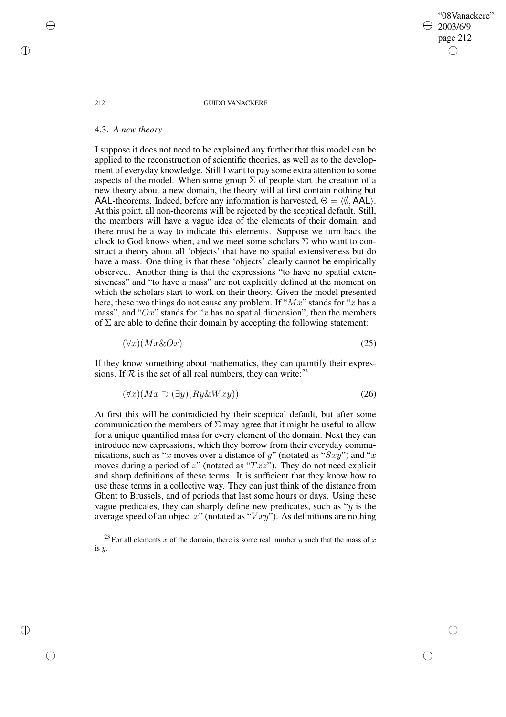212 GUIDO VANACKERE

"08Vanackere" 2003/6/9 page 212

✐

✐

✐

✐

### 4.3. *A new theory*

I suppose it does not need to be explained any further that this model can be applied to the reconstruction of scientific theories, as well as to the development of everyday knowledge. Still I want to pay some extra attention to some aspects of the model. When some group  $\Sigma$  of people start the creation of a new theory about a new domain, the theory will at first contain nothing but AAL-theorems. Indeed, before any information is harvested,  $\Theta = \langle \emptyset, AAL \rangle$ . At this point, all non-theorems will be rejected by the sceptical default. Still, the members will have a vague idea of the elements of their domain, and there must be a way to indicate this elements. Suppose we turn back the clock to God knows when, and we meet some scholars  $\Sigma$  who want to construct a theory about all 'objects' that have no spatial extensiveness but do have a mass. One thing is that these 'objects' clearly cannot be empirically observed. Another thing is that the expressions "to have no spatial extensiveness" and "to have a mass" are not explicitly defined at the moment on which the scholars start to work on their theory. Given the model presented here, these two things do not cause any problem. If " $Mx$ " stands for "x has a mass", and " $Ox$ " stands for "x has no spatial dimension", then the members of  $\Sigma$  are able to define their domain by accepting the following statement:

$$
(\forall x)(Mx\&Ox) \tag{25}
$$

If they know something about mathematics, they can quantify their expressions. If  $\mathcal R$  is the set of all real numbers, they can write: <sup>23</sup>

$$
(\forall x)(Mx \supset (\exists y)(Ry \& Wxy)) \tag{26}
$$

At first this will be contradicted by their sceptical default, but after some communication the members of  $\Sigma$  may agree that it might be useful to allow for a unique quantified mass for every element of the domain. Next they can introduce new expressions, which they borrow from their everyday communications, such as "x moves over a distance of y" (notated as " $Sxy$ ") and "x moves during a period of z" (notated as " $Txz$ "). They do not need explicit and sharp definitions of these terms. It is sufficient that they know how to use these terms in a collective way. They can just think of the distance from Ghent to Brussels, and of periods that last some hours or days. Using these vague predicates, they can sharply define new predicates, such as " $y$  is the average speed of an object x" (notated as " $Vxy$ "). As definitions are nothing

<sup>23</sup> For all elements x of the domain, there is some real number y such that the mass of x is y.

✐

✐

✐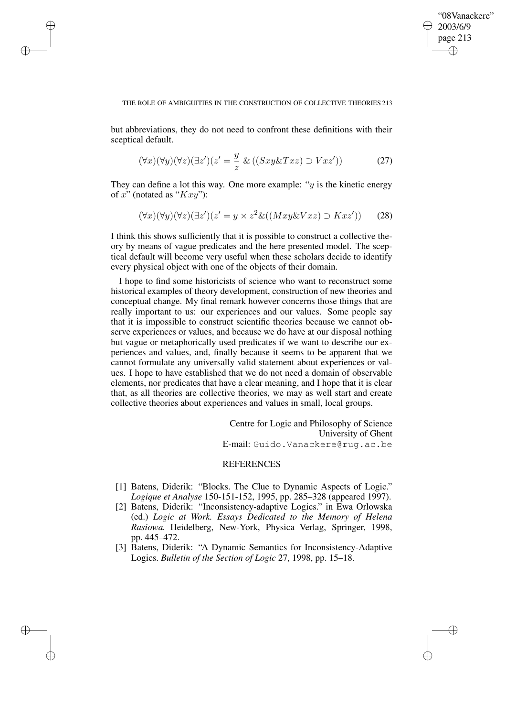✐

#### THE ROLE OF AMBIGUITIES IN THE CONSTRUCTION OF COLLECTIVE THEORIES 213

but abbreviations, they do not need to confront these definitions with their sceptical default.

✐

✐

✐

✐

$$
(\forall x)(\forall y)(\forall z)(\exists z')(z' = \frac{y}{z} \& ((Sxy \& Txz) \supset Vxz')) \tag{27}
$$

They can define a lot this way. One more example: " $y$  is the kinetic energy of  $x$ " (notated as " $Kxy$ "):

$$
(\forall x)(\forall y)(\forall z)(\exists z')(z'=y \times z^2 \& ((Mxy \& Vxz) \supset Kxz')) \qquad (28)
$$

I think this shows sufficiently that it is possible to construct a collective theory by means of vague predicates and the here presented model. The sceptical default will become very useful when these scholars decide to identify every physical object with one of the objects of their domain.

I hope to find some historicists of science who want to reconstruct some historical examples of theory development, construction of new theories and conceptual change. My final remark however concerns those things that are really important to us: our experiences and our values. Some people say that it is impossible to construct scientific theories because we cannot observe experiences or values, and because we do have at our disposal nothing but vague or metaphorically used predicates if we want to describe our experiences and values, and, finally because it seems to be apparent that we cannot formulate any universally valid statement about experiences or values. I hope to have established that we do not need a domain of observable elements, nor predicates that have a clear meaning, and I hope that it is clear that, as all theories are collective theories, we may as well start and create collective theories about experiences and values in small, local groups.

> Centre for Logic and Philosophy of Science University of Ghent E-mail: Guido.Vanackere@rug.ac.be

# **REFERENCES**

- [1] Batens, Diderik: "Blocks. The Clue to Dynamic Aspects of Logic." *Logique et Analyse* 150-151-152, 1995, pp. 285–328 (appeared 1997).
- [2] Batens, Diderik: "Inconsistency-adaptive Logics." in Ewa Orlowska (ed.) *Logic at Work. Essays Dedicated to the Memory of Helena Rasiowa.* Heidelberg, New-York, Physica Verlag, Springer, 1998, pp. 445–472.
- [3] Batens, Diderik: "A Dynamic Semantics for Inconsistency-Adaptive Logics. *Bulletin of the Section of Logic* 27, 1998, pp. 15–18.